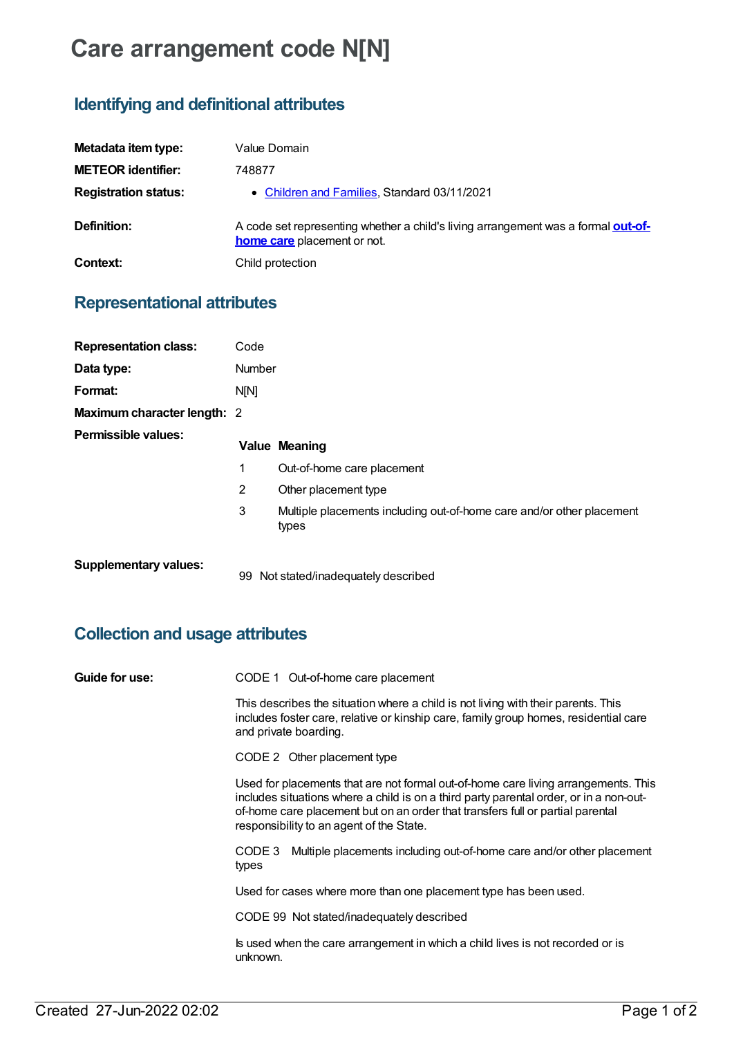# **Care arrangement code N[N]**

# **Identifying and definitional attributes**

| Metadata item type:         | Value Domain                                                                                                            |
|-----------------------------|-------------------------------------------------------------------------------------------------------------------------|
| <b>METEOR identifier:</b>   | 748877                                                                                                                  |
| <b>Registration status:</b> | • Children and Families, Standard 03/11/2021                                                                            |
| Definition:                 | A code set representing whether a child's living arrangement was a formal out-of-<br><b>home care</b> placement or not. |
| Context:                    | Child protection                                                                                                        |

### **Representational attributes**

| <b>Representation class:</b> | Code           |                                                                                |
|------------------------------|----------------|--------------------------------------------------------------------------------|
| Data type:                   | <b>Number</b>  |                                                                                |
| Format:                      | N[N]           |                                                                                |
| Maximum character length: 2  |                |                                                                                |
| <b>Permissible values:</b>   |                | <b>Value Meaning</b>                                                           |
|                              | 1              | Out-of-home care placement                                                     |
|                              | $\overline{2}$ | Other placement type                                                           |
|                              | 3              | Multiple placements including out-of-home care and/or other placement<br>types |
| <b>Supplementary values:</b> | 99             | Not stated/inadequately described                                              |

# **Collection and usage attributes**

| Guide for use: | CODE 1 Out-of-home care placement                                                                                                                                                                                                                                                                          |
|----------------|------------------------------------------------------------------------------------------------------------------------------------------------------------------------------------------------------------------------------------------------------------------------------------------------------------|
|                | This describes the situation where a child is not living with their parents. This<br>includes foster care, relative or kinship care, family group homes, residential care<br>and private boarding.                                                                                                         |
|                | CODE 2 Other placement type                                                                                                                                                                                                                                                                                |
|                | Used for placements that are not formal out-of-home care living arrangements. This<br>includes situations where a child is on a third party parental order, or in a non-out-<br>of-home care placement but on an order that transfers full or partial parental<br>responsibility to an agent of the State. |
|                | Multiple placements including out-of-home care and/or other placement<br>CODE 3<br>types                                                                                                                                                                                                                   |
|                | Used for cases where more than one placement type has been used.                                                                                                                                                                                                                                           |
|                | CODE 99 Not stated/inadequately described                                                                                                                                                                                                                                                                  |
|                | Is used when the care arrangement in which a child lives is not recorded or is<br>unknown.                                                                                                                                                                                                                 |